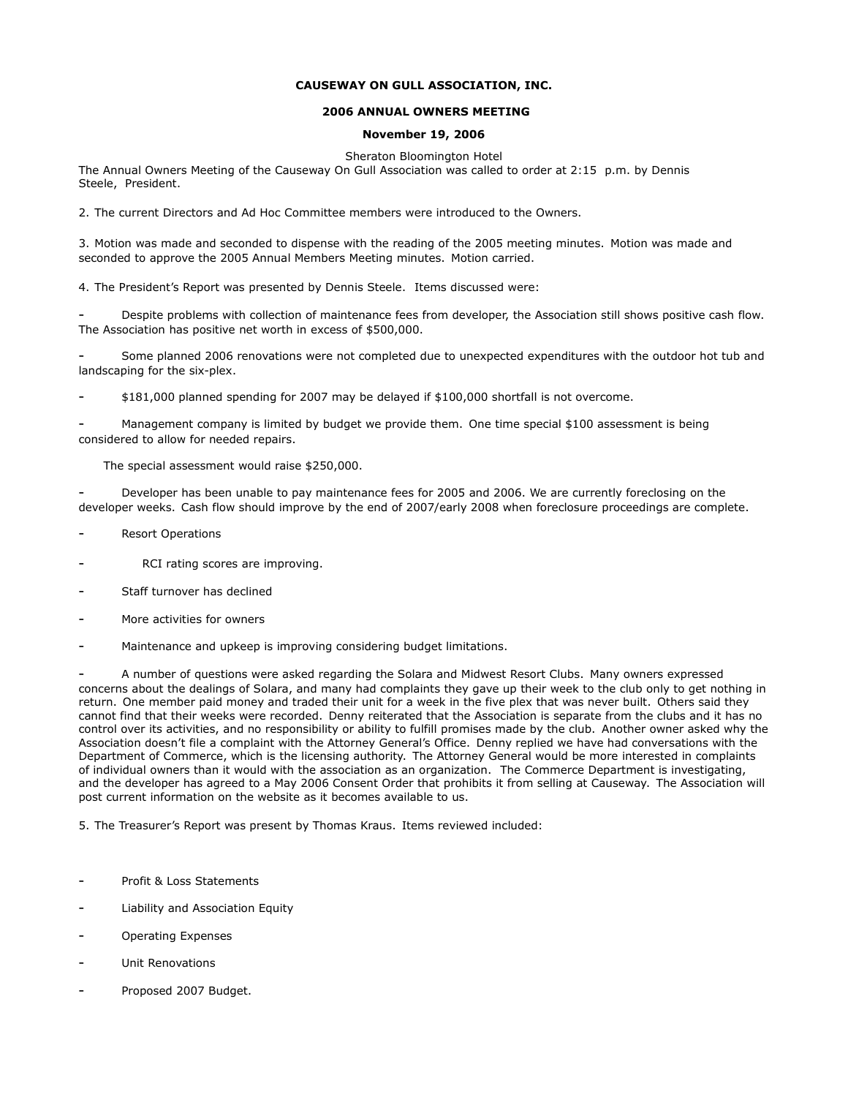## **CAUSEWAY ON GULL ASSOCIATION, INC.**

## **2006 ANNUAL OWNERS MEETING**

## **November 19, 2006**

Sheraton Bloomington Hotel The Annual Owners Meeting of the Causeway On Gull Association was called to order at 2:15 p.m. by Dennis Steele, President.

2. The current Directors and Ad Hoc Committee members were introduced to the Owners.

3. Motion was made and seconded to dispense with the reading of the 2005 meeting minutes. Motion was made and seconded to approve the 2005 Annual Members Meeting minutes. Motion carried.

4. The President's Report was presented by Dennis Steele. Items discussed were:

Despite problems with collection of maintenance fees from developer, the Association still shows positive cash flow. The Association has positive net worth in excess of \$500,000.

Some planned 2006 renovations were not completed due to unexpected expenditures with the outdoor hot tub and landscaping for the six-plex.

- \$181,000 planned spending for 2007 may be delayed if \$100,000 shortfall is not overcome.

Management company is limited by budget we provide them. One time special \$100 assessment is being considered to allow for needed repairs.

The special assessment would raise \$250,000.

- Developer has been unable to pay maintenance fees for 2005 and 2006. We are currently foreclosing on the developer weeks. Cash flow should improve by the end of 2007/early 2008 when foreclosure proceedings are complete.

- **Resort Operations**
- RCI rating scores are improving.
- Staff turnover has declined
- More activities for owners
- Maintenance and upkeep is improving considering budget limitations.

- A number of questions were asked regarding the Solara and Midwest Resort Clubs. Many owners expressed concerns about the dealings of Solara, and many had complaints they gave up their week to the club only to get nothing in return. One member paid money and traded their unit for a week in the five plex that was never built. Others said they cannot find that their weeks were recorded. Denny reiterated that the Association is separate from the clubs and it has no control over its activities, and no responsibility or ability to fulfill promises made by the club. Another owner asked why the Association doesn't file a complaint with the Attorney General's Office. Denny replied we have had conversations with the Department of Commerce, which is the licensing authority. The Attorney General would be more interested in complaints of individual owners than it would with the association as an organization. The Commerce Department is investigating, and the developer has agreed to a May 2006 Consent Order that prohibits it from selling at Causeway. The Association will post current information on the website as it becomes available to us.

5. The Treasurer's Report was present by Thomas Kraus. Items reviewed included:

- Profit & Loss Statements
- Liability and Association Equity
- Operating Expenses
- Unit Renovations
- Proposed 2007 Budget.